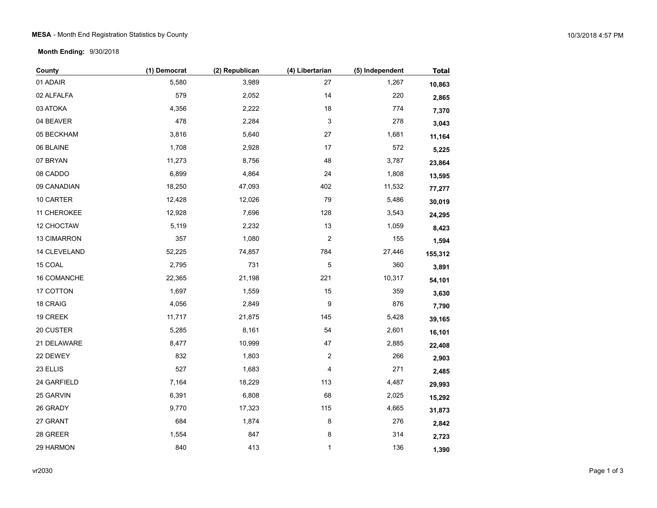## MESA - Month End Registration Statistics by County 10/3/2018 4:57 PM

**Month Ending:** 9/30/2018

| County       | (1) Democrat | (2) Republican | (4) Libertarian  | (5) Independent | <b>Total</b> |
|--------------|--------------|----------------|------------------|-----------------|--------------|
| 01 ADAIR     | 5,580        | 3,989          | 27               | 1,267           | 10,863       |
| 02 ALFALFA   | 579          | 2,052          | 14               | 220             | 2,865        |
| 03 ATOKA     | 4,356        | 2,222          | $18$             | 774             | 7,370        |
| 04 BEAVER    | 478          | 2,284          | 3                | 278             | 3,043        |
| 05 BECKHAM   | 3,816        | 5,640          | 27               | 1,681           | 11,164       |
| 06 BLAINE    | 1,708        | 2,928          | 17               | 572             | 5,225        |
| 07 BRYAN     | 11,273       | 8,756          | 48               | 3,787           | 23,864       |
| 08 CADDO     | 6,899        | 4,864          | 24               | 1,808           | 13,595       |
| 09 CANADIAN  | 18,250       | 47,093         | 402              | 11,532          | 77,277       |
| 10 CARTER    | 12,428       | 12,026         | 79               | 5,486           | 30,019       |
| 11 CHEROKEE  | 12,928       | 7,696          | 128              | 3,543           | 24,295       |
| 12 CHOCTAW   | 5,119        | 2,232          | 13               | 1,059           | 8,423        |
| 13 CIMARRON  | 357          | 1,080          | 2                | 155             | 1,594        |
| 14 CLEVELAND | 52,225       | 74,857         | 784              | 27,446          | 155,312      |
| 15 COAL      | 2,795        | 731            | $\mathbf 5$      | 360             | 3,891        |
| 16 COMANCHE  | 22,365       | 21,198         | 221              | 10,317          | 54,101       |
| 17 COTTON    | 1,697        | 1,559          | 15               | 359             | 3,630        |
| 18 CRAIG     | 4,056        | 2,849          | $\boldsymbol{9}$ | 876             | 7,790        |
| 19 CREEK     | 11,717       | 21,875         | 145              | 5,428           | 39,165       |
| 20 CUSTER    | 5,285        | 8,161          | 54               | 2,601           | 16,101       |
| 21 DELAWARE  | 8,477        | 10,999         | 47               | 2,885           | 22,408       |
| 22 DEWEY     | 832          | 1,803          | $\boldsymbol{2}$ | 266             | 2,903        |
| 23 ELLIS     | 527          | 1,683          | 4                | 271             | 2,485        |
| 24 GARFIELD  | 7,164        | 18,229         | 113              | 4,487           | 29,993       |
| 25 GARVIN    | 6,391        | 6,808          | 68               | 2,025           | 15,292       |
| 26 GRADY     | 9,770        | 17,323         | 115              | 4,665           | 31,873       |
| 27 GRANT     | 684          | 1,874          | 8                | 276             | 2,842        |
| 28 GREER     | 1,554        | 847            | 8                | 314             | 2,723        |
| 29 HARMON    | 840          | 413            | 1                | 136             | 1,390        |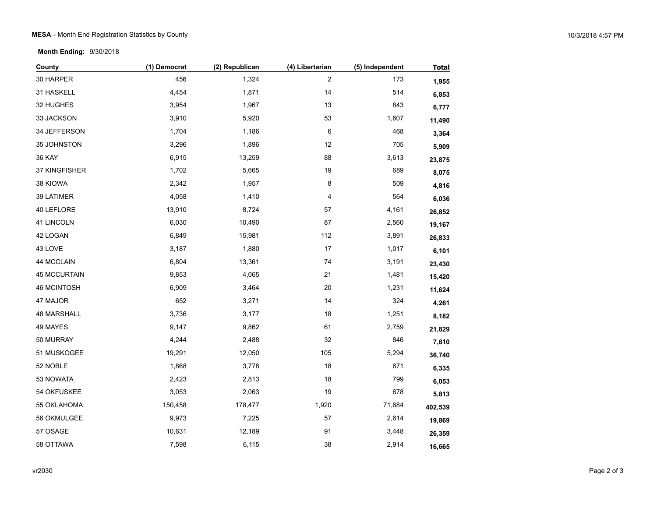**Month Ending:** 9/30/2018

| County              | (1) Democrat | (2) Republican | (4) Libertarian | (5) Independent | <b>Total</b> |
|---------------------|--------------|----------------|-----------------|-----------------|--------------|
| 30 HARPER           | 456          | 1,324          | $\overline{c}$  | 173             | 1,955        |
| 31 HASKELL          | 4,454        | 1,871          | 14              | 514             | 6,853        |
| 32 HUGHES           | 3,954        | 1,967          | 13              | 843             | 6,777        |
| 33 JACKSON          | 3,910        | 5,920          | 53              | 1,607           | 11,490       |
| 34 JEFFERSON        | 1,704        | 1,186          | 6               | 468             | 3,364        |
| 35 JOHNSTON         | 3,296        | 1,896          | 12              | 705             | 5,909        |
| <b>36 KAY</b>       | 6,915        | 13,259         | 88              | 3,613           | 23,875       |
| 37 KINGFISHER       | 1,702        | 5,665          | 19              | 689             | 8,075        |
| 38 KIOWA            | 2,342        | 1,957          | 8               | 509             | 4,816        |
| 39 LATIMER          | 4,058        | 1,410          | 4               | 564             | 6,036        |
| 40 LEFLORE          | 13,910       | 8,724          | 57              | 4,161           | 26,852       |
| 41 LINCOLN          | 6,030        | 10,490         | 87              | 2,560           | 19,167       |
| 42 LOGAN            | 6,849        | 15,981         | 112             | 3,891           | 26,833       |
| 43 LOVE             | 3,187        | 1,880          | 17              | 1,017           | 6,101        |
| 44 MCCLAIN          | 6,804        | 13,361         | 74              | 3,191           | 23,430       |
| <b>45 MCCURTAIN</b> | 9,853        | 4,065          | 21              | 1,481           | 15,420       |
| 46 MCINTOSH         | 6,909        | 3,464          | 20              | 1,231           | 11,624       |
| 47 MAJOR            | 652          | 3,271          | 14              | 324             | 4,261        |
| <b>48 MARSHALL</b>  | 3,736        | 3,177          | 18              | 1,251           | 8,182        |
| 49 MAYES            | 9,147        | 9,862          | 61              | 2,759           | 21,829       |
| 50 MURRAY           | 4,244        | 2,488          | 32              | 846             | 7,610        |
| 51 MUSKOGEE         | 19,291       | 12,050         | 105             | 5,294           | 36,740       |
| 52 NOBLE            | 1,868        | 3,778          | 18              | 671             | 6,335        |
| 53 NOWATA           | 2,423        | 2,813          | 18              | 799             | 6,053        |
| 54 OKFUSKEE         | 3,053        | 2,063          | 19              | 678             | 5,813        |
| 55 OKLAHOMA         | 150,458      | 178,477        | 1,920           | 71,684          | 402,539      |
| 56 OKMULGEE         | 9,973        | 7,225          | 57              | 2,614           | 19,869       |
| 57 OSAGE            | 10,631       | 12,189         | 91              | 3,448           | 26,359       |
| 58 OTTAWA           | 7,598        | 6,115          | 38              | 2,914           | 16,665       |